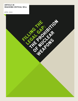## **ARTICLE 36 REACHING CRITICAL WILL**

APRIL 2015

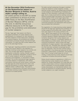### **At the December 2014 Conference on the Humanitarian Impact on Nuclear Weapons in Vienna, Austria made a pledge calling on**

"all states parties to the NPT to renew their commitment to Article VI [of the 1968 Treaty on the Non-Proliferation of Nuclear Weapons (NPT)], and to this end, to identify and pursue effective measures to fill the legal gap for the prohibition and elimination of nuclear weapons." **<sup>1</sup>**

The key "legal gap" that needs to be filled is the explicit prohibition of nuclear weapons and establishment of a framework for their elimination. The other weapons of mass destruction, biological and chemical weapons, are prohibited and subject to elimination processes through international legal instruments. It is past time that nuclear weapons are put on the same legal footing.

The "legal gap" regarding prohibition and elimination arises from various deficits in the regulation of activities involving nuclear weapons, as currently codified. This includes legal deficits regarding the development, production, testing, transfer, acquisition, transit, stockpiling, deployment, threat of use or use of nuclear weapons, as well as assistance, financing, encouragement, or inducement of these activities. The current international legal regulation of nuclear weapons is fragmentary, with several instruments covering only certain areas or activities. The legal gap also arises because the rules in the existing instruments on nuclear weapons apply to different states in different ways. Thus what is needed is a comprehensive instrument that prohibits all activities involving nuclear weapons in all circumstances for all states parties.

The table overleaf summarises the gaps in existing treaty law related to nuclear weapons. A treaty banning nuclear weapons, by categorically prohibiting nuclear weapons and establishing a framework and impetus for their elimination, would help to fill these gaps. Such a treaty would build on existing norms and reinforce existing legal instruments, but it would also close loopholes in the current legal regime that enable states to engage in nuclear weapon activities or otherwise to claim perceived benefit from their continued possession and deployment while purporting to promote their elimination.

The negotiation of a treaty banning nuclear weapons should fill the legal gap regarding the prohibition of nuclear weapons by providing clear common obligations with respect to the issues outlined in the chart.**<sup>2</sup>** Whilst some aspects of the current legal framework are to be applauded, the overall patchwork of partial regulation hampers development of a clear normative recognition that nuclear weapons are unacceptable. In doing so, it facilitates retention of these weapons by certain states, which may in turn incentivize proliferation. History shows that legal prohibitions of weapon systems—their possession as well as their use—facilitate their elimination. Weapons that have been outlawed increasingly become seen as illegitimate. They lose their political status and, along with it, the money and resources for their production, modernisation, proliferation, and perpetuation. Even if nuclear-armed states do not join initially, a treaty banning nuclear weapons would have a significant normative and practical impact.

States should commence negotiations in 2015 on a treaty banning nuclear weapons as an effective measure for nuclear disarmament. At a time when the nuclear-armed states continue to demonstrate their lack of commitment to pursuing tangible, good faith nuclear disarmament, as international tensions rise, and as the potential for accidents persists, banning nuclear weapons is an urgent necessity.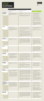|                                                                                           | <b>EXISTING LAW</b>                                                                                                                                                                                                                                                                                                                                                                                                                                                           |                                                                                                                                                                                                                                                                                                                                                                                                                                                                                                                                                                                                                                                                                                                                                                                                                                                                                                                                                                                                                                                                |                                                                                                                                                                                                                                                                                                                                                                                                                                                                                                                                                                                                                                                                                                                                                                                                                            |
|-------------------------------------------------------------------------------------------|-------------------------------------------------------------------------------------------------------------------------------------------------------------------------------------------------------------------------------------------------------------------------------------------------------------------------------------------------------------------------------------------------------------------------------------------------------------------------------|----------------------------------------------------------------------------------------------------------------------------------------------------------------------------------------------------------------------------------------------------------------------------------------------------------------------------------------------------------------------------------------------------------------------------------------------------------------------------------------------------------------------------------------------------------------------------------------------------------------------------------------------------------------------------------------------------------------------------------------------------------------------------------------------------------------------------------------------------------------------------------------------------------------------------------------------------------------------------------------------------------------------------------------------------------------|----------------------------------------------------------------------------------------------------------------------------------------------------------------------------------------------------------------------------------------------------------------------------------------------------------------------------------------------------------------------------------------------------------------------------------------------------------------------------------------------------------------------------------------------------------------------------------------------------------------------------------------------------------------------------------------------------------------------------------------------------------------------------------------------------------------------------|
|                                                                                           | PROHIBITIONS OR OBLIGATIONS IN<br>REGIONAL NUCLEAR-WEAPON-FREE ZONE<br>(NWFZ) TREATIES: 3                                                                                                                                                                                                                                                                                                                                                                                     | OTHER SOURCES OF PROHIBITIONS<br>OR OBLIGATIONS:                                                                                                                                                                                                                                                                                                                                                                                                                                                                                                                                                                                                                                                                                                                                                                                                                                                                                                                                                                                                               | <b>GAPS IN EXISTING LAW</b>                                                                                                                                                                                                                                                                                                                                                                                                                                                                                                                                                                                                                                                                                                                                                                                                |
| DEVELOPMENT,<br>PRODUCTION,<br><b>MANUFACTURE</b>                                         | • All NWFZ treaties ban the production of<br>nuclear weapons. Three explicitly prohibit<br>the development of nuclear weapons<br>(treaties of Bangkok, Pelindaba, Semipa-<br>latinsk).                                                                                                                                                                                                                                                                                        | • NPT article II prohibits non-nuclear-armed states parties<br>from manufacturing or receiving assistance to manufacture<br>nuclear weapons.<br>• NPT article I prevents nuclear-armed states parties from<br>assisting, encouraging, or inducing non-nuclear-armed<br>states parties to manufacture nuclear weapons.                                                                                                                                                                                                                                                                                                                                                                                                                                                                                                                                                                                                                                                                                                                                          | • NPT articles I and II only make nuclear<br>weapons manufacture illegal for<br>non-nuclear-armed states parties; there is<br>no comprehensive prohibition.<br>• NPT nuclear-armed states are not<br>prohibited to assist each other in the<br>production of nuclear weapons.<br>• NPT non-nuclear-armed states parties are<br>not prohibited from assisting nucle-<br>ar-armed states parties in the manufacture<br>and acquisition of nuclear weapons.<br>• Only the production of a fully assembled<br>nuclear weapon is explicitly prohibited by<br>the NPT.<br>• There is no specific provision to prohibit<br>nuclear weapon modernisation, including<br>developing or "improving" the weapon<br>systems' capabilities, in the NPT (though it<br>runs counter to all reasonable interpreta-<br>tions of article VI). |
| <b>TESTING</b>                                                                            | • All NWFZ treaties ban nuclear weapon<br>testing by states parties.<br>• Additional protocols to the Pelindaba and<br>Rarotonga treaties prohibit nuclear testing<br>by NPT nuclear-armed states within the<br>NWFZs, where ratified. <sup>4</sup>                                                                                                                                                                                                                           | • The Partial Test Ban Treaty prohibits all nuclear explosions<br>in the atmosphere, outer space, and underwater.<br>• The Antarctic Treaty prohibits nuclear explosions and the<br>disposal of radioactive waste in Antarctica.<br>• The Comprehensive Nuclear Test Ban Treaty (CTBT) prohibits<br>all nuclear test explosions.<br>• States' obligations to respect the right to health entail a<br>duty to refrain from nuclear testing where this would involve<br>"the release of substances harmful to human health." <sup>5</sup><br>• Under international environmental law, nuclear-armed states<br>are duty-bound to prevent, minimise, and control the risk of<br>causing significant transboundary harm. The detonation of a<br>nuclear weapon would cause harm that would most likely not<br>be contained to national borders and that will in many cases<br>be irreversible. <sup>6</sup>                                                                                                                                                         | • The CTBT has not entered into force due to<br>the non-accession of certain states listed<br>in annex II of the Treaty. <sup>7</sup><br>• The CTBT does not explicitly prohibit<br>subcritical or other means of non-explosive<br>testing.                                                                                                                                                                                                                                                                                                                                                                                                                                                                                                                                                                                |
| <b>TRANSFER</b><br>OR ACQUISITION                                                         | • All NWFZ treaties prohibit the acquisition<br>of and control over nuclear weapons by<br>states parties.                                                                                                                                                                                                                                                                                                                                                                     | • NPT article I prohibits nuclear-armed states parties from<br>transferring nuclear weapons or control over them to any<br>recipient. Article II commits non-nuclear-armed states<br>parties not to receive any transfer of nuclear weapons or<br>control over them. NPT article I prohibits nuclear-armed<br>states parties from assisting non-nuclear-armed states<br>parties to acquire nuclear weapons. Article II commits<br>non-nuclear-armed states parties not to acquire nuclear<br>weapons.                                                                                                                                                                                                                                                                                                                                                                                                                                                                                                                                                          | • Article I prohibits the transfer of nuclear<br>weapons, but not nuclear delivery systems.<br>• The NPT was adopted after the US had<br>already stationed some of its nuclear<br>weapons in NATO countries, with the<br>expectation that these countries would<br>acquire "control" over their deployment in<br>times of war. These "nuclear sharing"<br>agreements were concluded between 1959<br>and $1962.8$                                                                                                                                                                                                                                                                                                                                                                                                           |
| <b>TRANSIT</b>                                                                            |                                                                                                                                                                                                                                                                                                                                                                                                                                                                               |                                                                                                                                                                                                                                                                                                                                                                                                                                                                                                                                                                                                                                                                                                                                                                                                                                                                                                                                                                                                                                                                | • The transit of nuclear weapons is not<br>prohibited by any treaty. All NWFZ treaties<br>except Tlatelolco have provisions enabling<br>parties to decide individually whether to<br>allow the transit of nuclear weapons<br>through their territories. Under the treaty<br>of Semipalatinsk, parties could permit<br>the landing of aircraft carrying nuclear<br>weapons.                                                                                                                                                                                                                                                                                                                                                                                                                                                 |
| STOCKPILING,<br><b>POSSESSION</b>                                                         | • All NWFZ treaties prohibit the possession<br>of nuclear weapons by states parties. Four<br>explicitly prohibit assistance with posses-<br>sion (Rarotonga does not).<br>• Two NWFZ treaties explicitly prohibit<br>stockpiling (Pelindaba and Semipalatinsk).<br>The Treaty of Pelindaba contains an<br>obligation to destroy and dismantle nuclear<br>explosive devices.                                                                                                   | • Possession of nuclear weapons is arguably implicitly<br>prohibited for non-nuclear-armed NPT states parties under<br>article II's prohibition against acquisition or manufacture.<br>• Article VI obliges all NPT states parties to pursue negotia-<br>tions in good faith on effective measures relating to<br>cessation of the nuclear arms race and nuclear disarma-<br>ment. As noted by the ICJ in its 1996 advisory opinion, this<br>entails an obligation to reach agreement. <sup>9</sup><br>• There is an obligation under customary international law on<br>all states to pursue negotiations in good faith on effective<br>measures for the cessation of the nuclear arms race and<br>nuclear disarmament. <sup>10</sup>                                                                                                                                                                                                                                                                                                                          | • The NPT does not prohibit the possession<br>and stockpiling of nuclear weapons by NPT<br>nuclear-armed states parties.<br>• For states that are not party to any<br>instrument prohibiting the acquisition or<br>development of nuclear weapons, there is<br>no explicit prohibition on possession under<br>treaty law.                                                                                                                                                                                                                                                                                                                                                                                                                                                                                                  |
| STATIONING,<br><b>DEPLOYMENT</b>                                                          | • All NWFZ treaties prohibit stationing and<br>installation of nuclear weapons in NWFZ<br>territories.                                                                                                                                                                                                                                                                                                                                                                        | • The Seabed Treaty prohibits the placing of nuclear weapons<br>on the international seabed.<br>• The Outer Space Treaty prohibits placing any objects<br>carrying nuclear weapons in orbit around the earth; the<br>installation of such weapons on celestial bodies; and<br>stationing in outer space.<br>• The Antarctic Treaty prohibits any measure of a military<br>nature in Antarctica, including the stationing of nuclear<br>weapons.                                                                                                                                                                                                                                                                                                                                                                                                                                                                                                                                                                                                                | • The deployment of nuclear weapons is not<br>prohibited by the NPT or by any other<br>instrument beyond NWFZ treaties.<br>• Stockpiles of nuclear weapons are<br>stationed on the territories of nucle-<br>ar-armed states and their allies.                                                                                                                                                                                                                                                                                                                                                                                                                                                                                                                                                                              |
| <b>USE AND</b><br><b>THREAT OF USE</b>                                                    | • Three out of five NWFZ treaties explicitly<br>prohibit the use of nuclear weapons in the<br>territories of states parties to these<br>treaties.<br>• Two explicitly prohibit states parties from<br>assisting with the use of nuclear weapons<br>(the treaties of Tlatelolco and Bangkok).<br>• Additional protocols to all NWFZ treaties<br>prohibit NPT nuclear-armed states parties<br>from using or threatening to use nuclear<br>weapons within NWFZs, where ratified. | • The International Court of Justice ruled in its 1996 advisory<br>opinion on nuclear weapons by 11 votes to 3 that "there is<br>in neither customary nor conventional international law any<br>comprehensive and universal prohibition of the threat or use<br>of nuclear weapons as such." 11 However, the ICJ did find<br>that "the threat or use of nuclear weapons would generally<br>be contrary to the rules of international law applicable in<br>armed conflict, and in particular the principles and rules of<br>humanitarian law." <sup>12</sup><br>• Rules of international human rights law, international<br>environmental law, international health law, UN Charter law,<br>and other branches of international law would also likely be<br>violated. $13$<br>• The use of a nuclear weapon is implicitly prohibited to<br>non-nuclear-armed states parties to the NPT under articles<br>I and II of that Treaty, in its prohibition of such states<br>assuming "control" (i.e. the independent power to use<br>nuclear weapons). <sup>14</sup> | • There is no explicit treaty prohibition or<br>universally accepted rule of customary<br>international law on the use or threat of<br>use of nuclear weapons.<br>• The NPT does not prohibit its states<br>parties (whether nuclear-armed or not)<br>from subscribing to the doctrine of<br>"nuclear deterrence," which requires the<br>possibility of using nuclear weapons in<br>certain circumstances and requires<br>preparation and posturing for the use of<br>nuclear weapons.<br>• Neither the NPT nor any other agreement<br>prohibits consultation or planning on the<br>use of nuclear weapons; NATO's nuclear<br>planning group involves non-nuclear-armed<br>states and nuclear-armed states.                                                                                                                |
| <b>ASSISTANCE</b><br><b>WITH PROHIBITED</b><br><b>ACTS, INCLUDING</b><br><b>FINANCING</b> | • All NWFZ treaties contain obligations on<br>parties not to assist other states with acts<br>prohibited under the treaties. Some<br>treaties are more comprehensive in their<br>provisions than others on the prohibitions<br>considered in this table (development,<br>production, testing, transfer, acquisition,<br>transit, stockpiling, deployment, threat of<br>use, or use).                                                                                          | • NPT non-nuclear-armed states parties are prohibited from<br>receiving, and NPT nuclear-armed states parties from<br>providing assistance, encouragement, or inducement to<br>non-nuclear-armed states parties to develop, produce, or<br>acquire nuclear weapons under articles I and II.<br>• Under article 16 of the Articles on Responsibility of States<br>for Internationally Wrongful Acts, states are legally<br>responsible where they knowingly assist with acts that are<br>wrongful both for themselves and the state they are<br>assisting.                                                                                                                                                                                                                                                                                                                                                                                                                                                                                                      | • Existing provisions on assistance,<br>encouragement, and inducement are<br>uneven and do not apply equally to all<br>states.<br>• NPT nuclear-armed states parties may<br>assist each other or states not party to<br>the NPT in the production of nuclear<br>weapons.<br>• There is no explicit treaty prohibition<br>against financing of the production,<br>maintenance, or modernisation of nuclear<br>weapon systems. Companies in non-nucle-<br>ar-armed states are currently contributing<br>to the modernisation of nuclear arsenals.                                                                                                                                                                                                                                                                            |
| <b>RIGHTS AND</b><br><b>RESTORATION</b>                                                   |                                                                                                                                                                                                                                                                                                                                                                                                                                                                               | • A range of international rules and regulations describe the<br>rights of victims and survivors of violence with regards to<br>assistance, redress, and justice, and the restoration of<br>affected environments. Sources include international human<br>rights law, international humanitarian law, the Convention<br>on the Rights of Persons with Disabilities, transitional<br>justice and international criminal justice standards, rules<br>on state responsibility, and international environmental<br>law standards. <sup>15</sup>                                                                                                                                                                                                                                                                                                                                                                                                                                                                                                                    | • There is no international legal instrument<br>that provides a framework for victims and<br>survivors of nuclear weapons collectively<br>to seek assistance towards the full<br>realisation of their rights. <sup>16</sup><br>• There are no specific international<br>obligations to engage in efforts to<br>decontaminate or remediate areas affected<br>by nuclear weapon detonations, whether<br>through testing, use, or production.                                                                                                                                                                                                                                                                                                                                                                                 |



# **FILLING THE LEGAL GAP: THE PROHIBITION OF NUCLEAR WEAPONS**